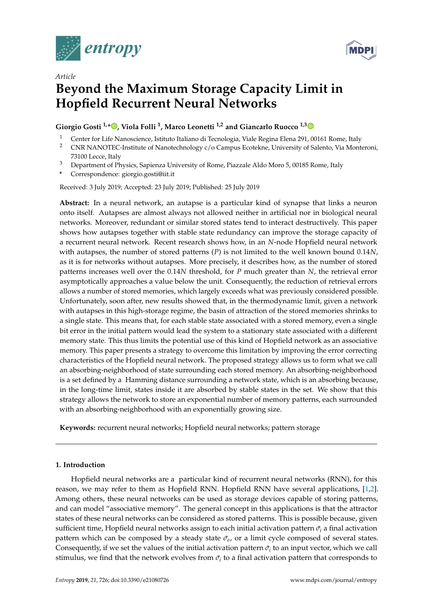

*Article*



# **Beyond the Maximum Storage Capacity Limit in Hopfield Recurrent Neural Networks**

**Giorgio Gosti 1,\* [,](https://orcid.org/0000-0002-8571-1404) Viola Folli <sup>1</sup> , Marco Leonetti 1,2 and Giancarlo Ruocco 1,[3](https://orcid.org/0000-0002-2762-9533)**

- <sup>1</sup> Center for Life Nanoscience, Istituto Italiano di Tecnologia, Viale Regina Elena 291, 00161 Rome, Italy
- <sup>2</sup> CNR NANOTEC-Institute of Nanotechnology c/o Campus Ecotekne, University of Salento, Via Monteroni, 73100 Lecce, Italy
- <sup>3</sup> Department of Physics, Sapienza University of Rome, Piazzale Aldo Moro 5, 00185 Rome, Italy
- **\*** Correspondence: giorgio.gosti@iit.it

Received: 3 July 2019; Accepted: 23 July 2019; Published: 25 July 2019

**Abstract:** In a neural network, an autapse is a particular kind of synapse that links a neuron onto itself. Autapses are almost always not allowed neither in artificial nor in biological neural networks. Moreover, redundant or similar stored states tend to interact destructively. This paper shows how autapses together with stable state redundancy can improve the storage capacity of a recurrent neural network. Recent research shows how, in an *N*-node Hopfield neural network with autapses, the number of stored patterns (*P*) is not limited to the well known bound 0.14*N*, as it is for networks without autapses. More precisely, it describes how, as the number of stored patterns increases well over the 0.14*N* threshold, for *P* much greater than *N*, the retrieval error asymptotically approaches a value below the unit. Consequently, the reduction of retrieval errors allows a number of stored memories, which largely exceeds what was previously considered possible. Unfortunately, soon after, new results showed that, in the thermodynamic limit, given a network with autapses in this high-storage regime, the basin of attraction of the stored memories shrinks to a single state. This means that, for each stable state associated with a stored memory, even a single bit error in the initial pattern would lead the system to a stationary state associated with a different memory state. This thus limits the potential use of this kind of Hopfield network as an associative memory. This paper presents a strategy to overcome this limitation by improving the error correcting characteristics of the Hopfield neural network. The proposed strategy allows us to form what we call an absorbing-neighborhood of state surrounding each stored memory. An absorbing-neighborhood is a set defined by a Hamming distance surrounding a network state, which is an absorbing because, in the long-time limit, states inside it are absorbed by stable states in the set. We show that this strategy allows the network to store an exponential number of memory patterns, each surrounded with an absorbing-neighborhood with an exponentially growing size.

**Keywords:** recurrent neural networks; Hopfield neural networks; pattern storage

## **1. Introduction**

Hopfield neural networks are a particular kind of recurrent neural networks (RNN), for this reason, we may refer to them as Hopfield RNN. Hopfield RNN have several applications, [\[1,](#page-10-0)[2\]](#page-10-1). Among others, these neural networks can be used as storage devices capable of storing patterns, and can model "associative memory". The general concept in this applications is that the attractor states of these neural networks can be considered as stored patterns. This is possible because, given sufficient time, Hopfield neural networks assign to each initial activation pattern  $\bar{\sigma}_i$  a final activation pattern which can be composed by a steady state  $\bar{\sigma}_o$ , or a limit cycle composed of several states. Consequently, if we set the values of the initial activation pattern  $\bar{\sigma_i}$  to an input vector, which we call stimulus, we find that the network evolves from  $\bar{\sigma_i}$  to a final activation pattern that corresponds to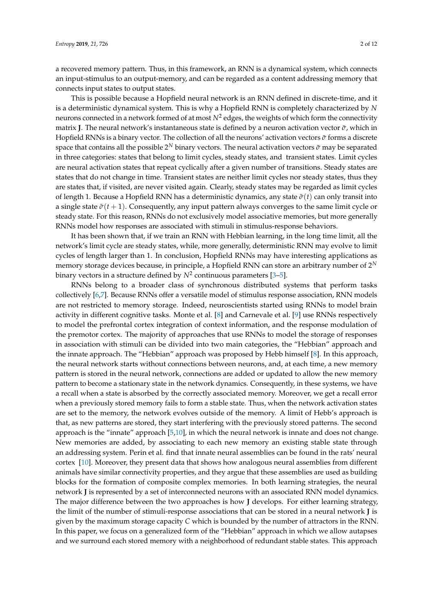a recovered memory pattern. Thus, in this framework, an RNN is a dynamical system, which connects an input-stimulus to an output-memory, and can be regarded as a content addressing memory that connects input states to output states.

This is possible because a Hopfield neural network is an RNN defined in discrete-time, and it is a deterministic dynamical system. This is why a Hopfield RNN is completely characterized by *N* neurons connected in a network formed of at most  $N^2$  edges, the weights of which form the connectivity matrix **J**. The neural network's instantaneous state is defined by a neuron activation vector *σ*, which in Hopfield RNNs is a binary vector. The collection of all the neurons' activation vectors *σ* forms a discrete space that contains all the possible 2 *<sup>N</sup>* binary vectors. The neural activation vectors *σ*¯ may be separated in three categories: states that belong to limit cycles, steady states, and transient states. Limit cycles are neural activation states that repeat cyclically after a given number of transitions. Steady states are states that do not change in time. Transient states are neither limit cycles nor steady states, thus they are states that, if visited, are never visited again. Clearly, steady states may be regarded as limit cycles of length 1. Because a Hopfield RNN has a deterministic dynamics, any state *σ*¯(*t*) can only transit into a single state  $\bar{\sigma}(t + 1)$ . Consequently, any input pattern always converges to the same limit cycle or steady state. For this reason, RNNs do not exclusively model associative memories, but more generally RNNs model how responses are associated with stimuli in stimulus-response behaviors.

It has been shown that, if we train an RNN with Hebbian learning, in the long time limit, all the network's limit cycle are steady states, while, more generally, deterministic RNN may evolve to limit cycles of length larger than 1. In conclusion, Hopfield RNNs may have interesting applications as memory storage devices because, in principle, a Hopfield RNN can store an arbitrary number of  $2^{\rm N}$ binary vectors in a structure defined by  $N^2$  continuous parameters [\[3–](#page-10-2)[5\]](#page-10-3).

RNNs belong to a broader class of synchronous distributed systems that perform tasks collectively [\[6,](#page-10-4)[7\]](#page-10-5). Because RNNs offer a versatile model of stimulus response association, RNN models are not restricted to memory storage. Indeed, neuroscientists started using RNNs to model brain activity in different cognitive tasks. Monte et al. [\[8\]](#page-10-6) and Carnevale et al. [\[9\]](#page-10-7) use RNNs respectively to model the prefrontal cortex integration of context information, and the response modulation of the premotor cortex. The majority of approaches that use RNNs to model the storage of responses in association with stimuli can be divided into two main categories, the "Hebbian" approach and the innate approach. The "Hebbian" approach was proposed by Hebb himself [\[8\]](#page-10-6). In this approach, the neural network starts without connections between neurons, and, at each time, a new memory pattern is stored in the neural network, connections are added or updated to allow the new memory pattern to become a stationary state in the network dynamics. Consequently, in these systems, we have a recall when a state is absorbed by the correctly associated memory. Moreover, we get a recall error when a previously stored memory fails to form a stable state. Thus, when the network activation states are set to the memory, the network evolves outside of the memory. A limit of Hebb's approach is that, as new patterns are stored, they start interfering with the previously stored patterns. The second approach is the "innate" approach [\[5,](#page-10-3)[10\]](#page-10-8), in which the neural network is innate and does not change. New memories are added, by associating to each new memory an existing stable state through an addressing system. Perin et al. find that innate neural assemblies can be found in the rats' neural cortex [\[10\]](#page-10-8). Moreover, they present data that shows how analogous neural assemblies from different animals have similar connectivity properties, and they argue that these assemblies are used as building blocks for the formation of composite complex memories. In both learning strategies, the neural network **J** is represented by a set of interconnected neurons with an associated RNN model dynamics. The major difference between the two approaches is how **J** develops. For either learning strategy, the limit of the number of stimuli-response associations that can be stored in a neural network **J** is given by the maximum storage capacity *C* which is bounded by the number of attractors in the RNN. In this paper, we focus on a generalized form of the "Hebbian" approach in which we allow autapses and we surround each stored memory with a neighborhood of redundant stable states. This approach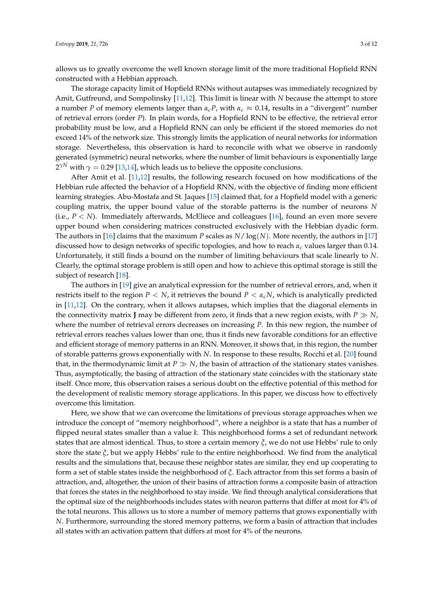allows us to greatly overcome the well known storage limit of the more traditional Hopfield RNN constructed with a Hebbian approach.

The storage capacity limit of Hopfield RNNs without autapses was immediately recognized by Amit, Gutfreund, and Sompolinsky [\[11,](#page-10-9)[12\]](#page-10-10). This limit is linear with *N* because the attempt to store a number *P* of memory elements larger than  $\alpha_c P$ , with  $\alpha_c \approx 0.14$ , results in a "divergent" number of retrieval errors (order *P*). In plain words, for a Hopfield RNN to be effective, the retrieval error probability must be low, and a Hopfield RNN can only be efficient if the stored memories do not exceed 14% of the network size. This strongly limits the application of neural networks for information storage. Nevertheless, this observation is hard to reconcile with what we observe in randomly generated (symmetric) neural networks, where the number of limit behaviours is exponentially large  $2^{\gamma N}$  with  $\gamma=$  0.29 [\[13,](#page-10-11)[14\]](#page-10-12), which leads us to believe the opposite conclusions.

After Amit et al. [\[11](#page-10-9)[,12\]](#page-10-10) results, the following research focused on how modifications of the Hebbian rule affected the behavior of a Hopfield RNN, with the objective of finding more efficient learning strategies. Abu-Mostafa and St. Jaques [\[15\]](#page-10-13) claimed that, for a Hopfield model with a generic coupling matrix, the upper bound value of the storable patterns is the number of neurons *N* (i.e., *P* < *N*). Immediately afterwards, McEliece and colleagues [\[16\]](#page-10-14), found an even more severe upper bound when considering matrices constructed exclusively with the Hebbian dyadic form. The authors in [\[16\]](#page-10-14) claims that the maximum *P* scales as *N*/ log(*N*). More recently, the authors in [\[17\]](#page-10-15) discussed how to design networks of specific topologies, and how to reach *αc* values larger than 0.14. Unfortunately, it still finds a bound on the number of limiting behaviours that scale linearly to *N*. Clearly, the optimal storage problem is still open and how to achieve this optimal storage is still the subject of research [\[18\]](#page-10-16).

The authors in [\[19\]](#page-10-17) give an analytical expression for the number of retrieval errors, and, when it restricts itself to the region  $P < N$ , it retrieves the bound  $P < \alpha_c N$ , which is analytically predicted in [\[11,](#page-10-9)[12\]](#page-10-10). On the contrary, when it allows autapses, which implies that the diagonal elements in the connectivity matrix **J** may be different from zero, it finds that a new region exists, with  $P \gg N$ , where the number of retrieval errors decreases on increasing *P*. In this new region, the number of retrieval errors reaches values lower than one, thus it finds new favorable conditions for an effective and efficient storage of memory patterns in an RNN. Moreover, it shows that, in this region, the number of storable patterns grows exponentially with *N*. In response to these results, Rocchi et al. [\[20\]](#page-10-18) found that, in the thermodynamic limit at  $P \gg N$ , the basin of attraction of the stationary states vanishes. Thus, asymptotically, the basing of attraction of the stationary state coincides with the stationary state itself. Once more, this observation raises a serious doubt on the effective potential of this method for the development of realistic memory storage applications. In this paper, we discuss how to effectively overcome this limitation.

Here, we show that we can overcome the limitations of previous storage approaches when we introduce the concept of "memory neighborhood", where a neighbor is a state that has a number of flipped neural states smaller than a value *k*. This neighborhood forms a set of redundant network states that are almost identical. Thus, to store a certain memory *ξ*, we do not use Hebbs' rule to only store the state *ξ*, but we apply Hebbs' rule to the entire neighborhood. We find from the analytical results and the simulations that, because these neighbor states are similar, they end up cooperating to form a set of stable states inside the neighborhood of *ξ*. Each attractor from this set forms a basin of attraction, and, altogether, the union of their basins of attraction forms a composite basin of attraction that forces the states in the neighborhood to stay inside. We find through analytical considerations that the optimal size of the neighborhoods includes states with neuron patterns that differ at most for 4% of the total neurons. This allows us to store a number of memory patterns that grows exponentially with *N*. Furthermore, surrounding the stored memory patterns, we form a basin of attraction that includes all states with an activation pattern that differs at most for 4% of the neurons.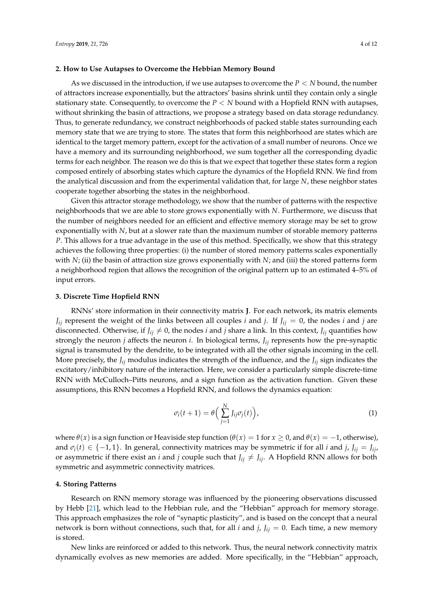#### **2. How to Use Autapses to Overcome the Hebbian Memory Bound**

As we discussed in the introduction, if we use autapses to overcome the *P* < *N* bound, the number of attractors increase exponentially, but the attractors' basins shrink until they contain only a single stationary state. Consequently, to overcome the *P* < *N* bound with a Hopfield RNN with autapses, without shrinking the basin of attractions, we propose a strategy based on data storage redundancy. Thus, to generate redundancy, we construct neighborhoods of packed stable states surrounding each memory state that we are trying to store. The states that form this neighborhood are states which are identical to the target memory pattern, except for the activation of a small number of neurons. Once we have a memory and its surrounding neighborhood, we sum together all the corresponding dyadic terms for each neighbor. The reason we do this is that we expect that together these states form a region composed entirely of absorbing states which capture the dynamics of the Hopfield RNN. We find from the analytical discussion and from the experimental validation that, for large *N*, these neighbor states cooperate together absorbing the states in the neighborhood.

Given this attractor storage methodology, we show that the number of patterns with the respective neighborhoods that we are able to store grows exponentially with *N*. Furthermore, we discuss that the number of neighbors needed for an efficient and effective memory storage may be set to grow exponentially with *N*, but at a slower rate than the maximum number of storable memory patterns *P*. This allows for a true advantage in the use of this method. Specifically, we show that this strategy achieves the following three properties: (i) the number of stored memory patterns scales exponentially with *N*; (ii) the basin of attraction size grows exponentially with *N*; and (iii) the stored patterns form a neighborhood region that allows the recognition of the original pattern up to an estimated 4–5% of input errors.

#### **3. Discrete Time Hopfield RNN**

RNNs' store information in their connectivity matrix **J**. For each network, its matrix elements  $J_{ij}$  represent the weight of the links between all couples *i* and *j*. If  $J_{ij} = 0$ , the nodes *i* and *j* are disconnected. Otherwise, if  $J_{ij} \neq 0$ , the nodes *i* and *j* share a link. In this context,  $J_{ij}$  quantifies how strongly the neuron *j* affects the neuron *i*. In biological terms, *Jij* represents how the pre-synaptic signal is transmuted by the dendrite, to be integrated with all the other signals incoming in the cell. More precisely, the *Jij* modulus indicates the strength of the influence, and the *Jij* sign indicates the excitatory/inhibitory nature of the interaction. Here, we consider a particularly simple discrete-time RNN with McCulloch–Pitts neurons, and a sign function as the activation function. Given these assumptions, this RNN becomes a Hopfield RNN, and follows the dynamics equation:

$$
\sigma_i(t+1) = \theta\left(\sum_{j=1}^N J_{ij}\sigma_j(t)\right),\tag{1}
$$

where  $\theta(x)$  is a sign function or Heaviside step function ( $\theta(x) = 1$  for  $x \ge 0$ , and  $\theta(x) = -1$ , otherwise), and  $\sigma_i(t) \in \{-1, 1\}$ . In general, connectivity matrices may be symmetric if for all *i* and *j*,  $J_{ij} = J_{ij}$ , or asymmetric if there exist an *i* and *j* couple such that  $J_{ij} \neq J_{ij}$ . A Hopfield RNN allows for both symmetric and asymmetric connectivity matrices.

#### **4. Storing Patterns**

Research on RNN memory storage was influenced by the pioneering observations discussed by Hebb [\[21\]](#page-11-0), which lead to the Hebbian rule, and the "Hebbian" approach for memory storage. This approach emphasizes the role of "synaptic plasticity", and is based on the concept that a neural network is born without connections, such that, for all *i* and *j*,  $J_{ij} = 0$ . Each time, a new memory is stored.

New links are reinforced or added to this network. Thus, the neural network connectivity matrix dynamically evolves as new memories are added. More specifically, in the "Hebbian" approach,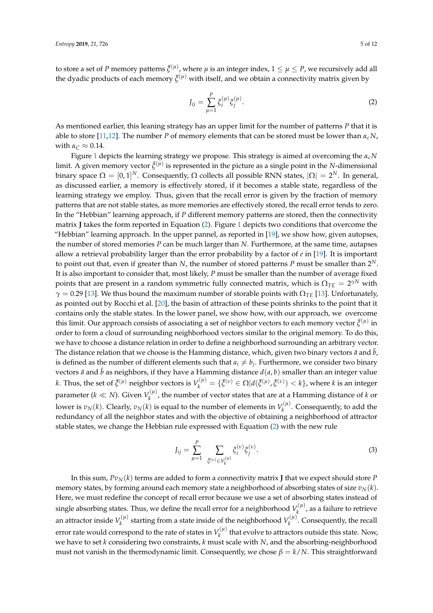to store a set of *P* memory patterns  $\bar{\xi}^{(\mu)}$ , where  $\mu$  is an integer index,  $1\leq \mu\leq P$ , we recursively add all the dyadic products of each memory  $\bar{\zeta}^{(\mu)}$  with itself, and we obtain a connectivity matrix given by

<span id="page-4-0"></span>
$$
J_{ij} = \sum_{\mu=1}^{P} \xi_i^{(\mu)} \xi_j^{(\mu)}.
$$
 (2)

As mentioned earlier, this leaning strategy has an upper limit for the number of patterns *P* that it is able to store [\[11,](#page-10-9)[12\]](#page-10-10). The number *P* of memory elements that can be stored must be lower than *αcN*, with  $\alpha_C \approx 0.14$ .

Figure [1](#page-5-0) depicts the learning strategy we propose. This strategy is aimed at overcoming the *αcN* limit. A given memory vector  $\bar{\xi}^{(\mu)}$  is represented in the picture as a single point in the *N*-dimensional binary space  $\Omega = [0,1]^N$ . Consequently,  $\Omega$  collects all possible RNN states,  $|\Omega| = 2^N$ . In general, as discussed earlier, a memory is effectively stored, if it becomes a stable state, regardless of the learning strategy we employ. Thus, given that the recall error is given by the fraction of memory patterns that are not stable states, as more memories are effectively stored, the recall error tends to zero. In the "Hebbian" learning approach, if *P* different memory patterns are stored, then the connectivity matrix **J** takes the form reported in Equation [\(2\)](#page-4-0). Figure [1](#page-5-0) depicts two conditions that overcome the "Hebbian" learning approach. In the upper pannel, as reported in [\[19\]](#page-10-17), we show how, given autopses, the number of stored memories *P* can be much larger than *N*. Furthermore, at the same time, autapses allow a retrieval probability larger than the error probability by a factor of *e* in [\[19\]](#page-10-17). It is important to point out that, even if greater than *N*, the number of stored patterns *P* must be smaller than 2 *N*. It is also important to consider that, most likely, *P* must be smaller than the number of average fixed points that are present in a random symmetric fully connected matrix, which is  $\Omega_{TE} = 2^{\gamma N}$  with  $\gamma = 0.29$  [\[13\]](#page-10-11). We thus bound the maximum number of storable points with  $\Omega_{TF}$  [13]. Unfortunately, as pointed out by Rocchi et al. [\[20\]](#page-10-18), the basin of attraction of these points shrinks to the point that it contains only the stable states. In the lower panel, we show how, with our approach, we overcome this limit. Our approach consists of associating a set of neighbor vectors to each memory vector  $\bar{\zeta}^{(\mu)}$  in order to form a cloud of surrounding neighborhood vectors similar to the original memory. To do this, we have to choose a distance relation in order to define a neighborhood surrounding an arbitrary vector. The distance relation that we choose is the Hamming distance, which, given two binary vectors  $\bar{a}$  and  $b$ , is defined as the number of different elements such that  $a_i \neq b_j$ . Furthermore, we consider two binary vectors  $\bar{a}$  and  $\bar{b}$  as neighbors, if they have a Hamming distance  $d(a, b)$  smaller than an integer value *k*. Thus, the set of  $\bar{\xi}^{(\mu)}$  neighbor vectors is  $V_k^{(\mu)} = \{\bar{\xi}^{(\nu)} \in \Omega | d(\bar{\xi}^{(\mu)}, \bar{\xi}^{(\nu)}) < k\}$ , where *k* is an integer parameter ( $k \ll N$ ). Given  $V_k^{(\mu)}$  $\mathbf{R}_{k}^{(n)}$ , the number of vector states that are at a Hamming distance of *k* or lower is  $v_N(k)$ . Clearly,  $v_N(k)$  is equal to the number of elements in  $V_k^{(\mu)}$  $k^{(1)}$ . Consequently, to add the redundancy of all the neighbor states and with the objective of obtaining a neighborhood of attractor stable states, we change the Hebbian rule expressed with Equation [\(2\)](#page-4-0) with the new rule

<span id="page-4-1"></span>
$$
J_{ij} = \sum_{\mu=1}^{P} \sum_{\xi^{(\nu)} \in V_k^{(\mu)}} \xi_j^{(\nu)} \xi_j^{(\nu)}.
$$
 (3)

In this sum, *PvN*(*k*) terms are added to form a connectivity matrix **J** that we expect should store *P* memory states, by forming around each memory state a neighborhood of absorbing states of size  $v_N(k)$ . Here, we must redefine the concept of recall error because we use a set of absorbing states instead of single absorbing states. Thus, we define the recall error for a neighborhood  $V_k^{(\mu)}$  $\binom{n}{k}$ , as a failure to retrieve an attractor inside  $V_k^{(\mu)}$  $V_k^{(\mu)}$  starting from a state inside of the neighborhood  $V_k^{(\mu)}$  $\chi_k^{(\mu)}$ . Consequently, the recall error rate would correspond to the rate of states in  $V_k^{(\mu)}$  $\mathbf{R}_{k}^{(n)}$  that evolve to attractors outside this state. Now, we have to set *k* considering two constraints, *k* must scale with *N*, and the absorbing-neighborhood must not vanish in the thermodynamic limit. Consequently, we chose  $\beta = k/N$ . This straightforward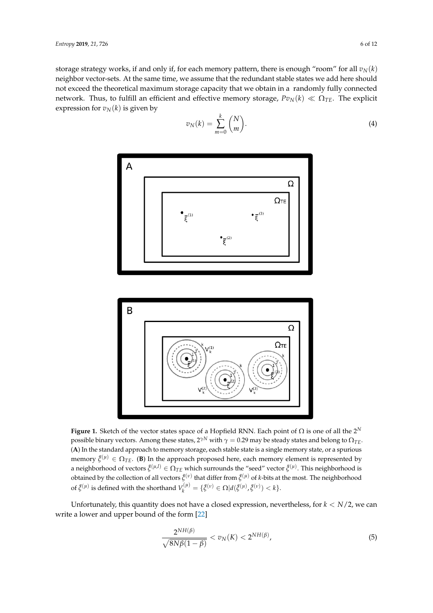storage strategy works, if and only if, for each memory pattern, there is enough "room" for all  $v_N(k)$ neighbor vector-sets. At the same time, we assume that the redundant stable states we add here should not exceed the theoretical maximum storage capacity that we obtain in a randomly fully connected network. Thus, to fulfill an efficient and effective memory storage,  $Pv_N(k) \ll \Omega_{TE}$ . The explicit expression for  $v_N(k)$  is given by

$$
v_N(k) = \sum_{m=0}^{k} \binom{N}{m}.
$$
\n<sup>(4)</sup>

<span id="page-5-0"></span>

**Figure 1.** Sketch of the vector states space of a Hopfield RNN. Each point of  $\Omega$  is one of all the 2<sup>N</sup> possible binary vectors. Among these states, 2 $^{\gamma N}$  with  $\gamma=$  0.29 may be steady states and belong to  $\Omega_{TE}$ . (**A**) In the standard approach to memory storage, each stable state is a single memory state, or a spurious memory  $\bar{\zeta}^{(\mu)} \in \Omega_{TE}$ . (**B**) In the approach proposed here, each memory element is represented by a neighborhood of vectors  $\bar{\zeta}^{(\mu,l)}\in\Omega_{TE}$  which surrounds the "seed" vector  $\bar{\zeta}^{(\mu)}.$  This neighborhood is obtained by the collection of all vectors  $\bar{\zeta}^{(\nu)}$  that differ from  $\bar{\zeta}^{(\mu)}$  of *k*-bits at the most. The neighborhood of  $\bar{\xi}^{(\mu)}$  is defined with the shorthand  $V_k^{(\mu)} = {\{\bar{\xi}^{(\nu)} \in \Omega | d(\bar{\xi}^{(\mu)}, \bar{\xi}^{(\nu)}) < k\}}.$ 

Unfortunately, this quantity does not have a closed expression, nevertheless, for *k* < *N*/2, we can write a lower and upper bound of the form [\[22\]](#page-11-1)

$$
\frac{2^{NH(\beta)}}{\sqrt{8N\beta(1-\beta)}} < v_N(K) < 2^{NH(\beta)},\tag{5}
$$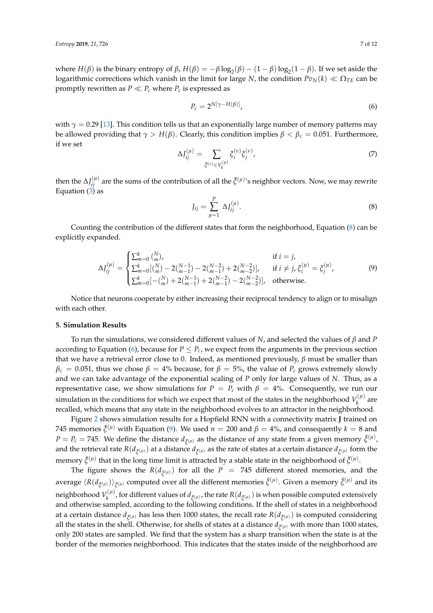$\text{where } H(\beta)$  is the binary entropy of *β*,  $H(\beta) = -\beta \log_2(\beta) - (1 - \beta) \log_2(1 - \beta)$ . If we set aside the logarithmic corrections which vanish in the limit for large *N*, the condition  $Pv_N(k) \ll \Omega_{TE}$  can be promptly rewritten as  $P \ll P_c$  where  $P_c$  is expressed as

<span id="page-6-1"></span>
$$
P_c = 2^{N[\gamma - H(\beta)]},\tag{6}
$$

with  $\gamma = 0.29$  [\[13\]](#page-10-11). This condition tells us that an exponentially large number of memory patterns may be allowed providing that  $γ > H(β)$ . Clearly, this condition implies  $β < β<sub>c</sub> = 0.051$ . Furthermore, if we set

$$
\Delta J_{ij}^{(\mu)} = \sum_{\tilde{\xi}^{(\nu)} \in V_k^{(\mu)}} \tilde{\xi}_i^{(\nu)} \tilde{\xi}_j^{(\nu)},\tag{7}
$$

then the  $\Delta J_{ij}^{(\mu)}$  are the sums of the contribution of all the  $\bar{\zeta}^{(\mu)}$ 's neighbor vectors. Now, we may rewrite Equation  $(3)$  as

<span id="page-6-0"></span>
$$
J_{ij} = \sum_{\mu=1}^{P} \Delta J_{ij}^{(\mu)}.
$$
 (8)

Counting the contribution of the different states that form the neighborhood, Equation [\(8\)](#page-6-0) can be explicitly expanded.

<span id="page-6-2"></span>
$$
\Delta J_{ij}^{(\mu)} = \begin{cases}\n\sum_{m=0}^{k} {N \choose m}, & \text{if } i = j, \\
\sum_{m=0}^{k} {N \choose k} - 2{N-1 \choose m-1} - 2{N-2 \choose m-1} + 2{N-2 \choose m-2}], & \text{if } i \neq j, \xi_{i}^{(\mu)} = \xi_{j}^{(\mu)}, \\
\sum_{m=0}^{k} {N \choose m} + 2{N-1 \choose m-1} + 2{N-2 \choose m-1} - 2{N-2 \choose m-2}], & \text{otherwise.} \n\end{cases}
$$
\n(9)

Notice that neurons cooperate by either increasing their reciprocal tendency to align or to misalign with each other.

#### **5. Simulation Results**

To run the simulations, we considered different values of *N*, and selected the values of *β* and *P* according to Equation [\(6\)](#page-6-1), because for  $P \leq P_c$ , we expect from the arguments in the previous section that we have a retrieval error close to 0. Indeed, as mentioned previously, *β* must be smaller than  $\beta_c = 0.051$ , thus we chose  $\beta = 4\%$  because, for  $\beta = 5\%$ , the value of  $P_c$  grows extremely slowly and we can take advantage of the exponential scaling of *P* only for large values of *N*. Thus, as a representative case, we show simulations for  $P = P_c$  with  $\beta = 4\%$ . Consequently, we run our simulation in the conditions for which we expect that most of the states in the neighborhood  $V_k^{(\mu)}$  $\int_k^{\pi/\mu}$  are recalled, which means that any state in the neighborhood evolves to an attractor in the neighborhood.

Figure [2](#page-7-0) shows simulation results for a Hopfield RNN with a connectivity matrix **J** trained on 745 memories  $\bar{\xi}^{(\mu)}$  with Equation [\(9\)](#page-6-2). We used  $n = 200$  and  $\beta = 4\%$ , and consequently  $k = 8$  and  $P = P_c = 745$ . We define the distance  $d_{\bar{\xi}(\mu)}$  as the distance of any state from a given memory  $\bar{\xi}^{(\mu)}$ , and the retrieval rate  $R(d_{\bar{\xi}^{(\mu)}})$  at a distance  $d_{\bar{\xi}^{(\mu)}}$  as the rate of states at a certain distance  $d_{\bar{\xi}^{(\mu)}}$  form the memory  $\bar{\zeta}^{(\mu)}$  that in the long time limit is attracted by a stable state in the neighborhood of  $\bar{\zeta}^{(\mu)}$ .

The figure shows the  $R(d_{\tilde{\xi}^{(\mu)}})$  for all the  $P = 745$  different stored memories, and the  $\arctan\frac{\zeta(R(d_{\bar{\zeta}(\mu)})\zeta(\mu)}{\zeta(\mu)}$  computed over all the different memories  $\bar{\zeta}^{(\mu)}$ . Given a memory  $\bar{\zeta}^{(\mu)}$  and its neighborhood  $V_k^{(\mu)}$  $\kappa^{(\mu)}$ , for different values of  $d_{\tilde{\xi}^{(\mu)}}$ , the rate  $R(d_{\tilde{\xi}^{(\mu)}})$  is when possible computed extensively and otherwise sampled, according to the following conditions. If the shell of states in a neighborhood at a certain distance  $d_{\tilde{\xi}^{(\mu)}}$  has less then 1000 states, the recall rate  $R(d_{\tilde{\xi}^{(\mu)}})$  is computed considering all the states in the shell. Otherwise, for shells of states at a distance  $d_{\bar{\xi}^{(\mu)}}$  with more than 1000 states, only 200 states are sampled. We find that the system has a sharp transition when the state is at the border of the memories neighborhood. This indicates that the states inside of the neighborhood are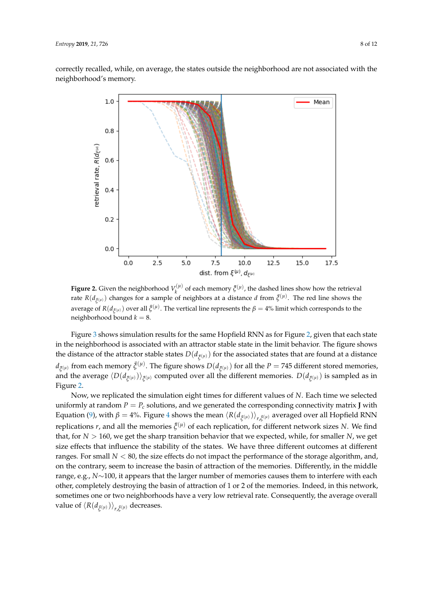<span id="page-7-0"></span>correctly recalled, while, on average, the states outside the neighborhood are not associated with the neighborhood's memory.



**Figure 2.** Given the neighborhood  $V_k^{(\mu)}$  of each memory  $\bar{\zeta}^{(\mu)}$ , the dashed lines show how the retrieval rate  $R(d_{\bar{\xi}^{(\mu)}})$  changes for a sample of neighbors at a distance *d* from  $\bar{\xi}^{(\mu)}$ . The red line shows the average of  $R(d_{\bar{\xi}^{(\mu)}})$  over all  $\bar{\xi}^{(\mu)}$ . The vertical line represents the  $\beta=4\%$  limit which corresponds to the neighborhood bound  $k = 8$ .

Figure [3](#page-8-0) shows simulation results for the same Hopfield RNN as for Figure [2,](#page-7-0) given that each state in the neighborhood is associated with an attractor stable state in the limit behavior. The figure shows the distance of the attractor stable states  $D(d_{\tilde{\xi}^{(\mu)}})$  for the associated states that are found at a distance  $d_{\tilde{\xi}^{(\mu)}}$  from each memory  $\bar{\xi}^{(\mu)}$ . The figure shows  $D(d_{\tilde{\xi}^{(\mu)}})$  for all the  $P=745$  different stored memories, and the average  $\langle D(d_{\tilde{\xi}^{(\mu)}})\rangle_{\tilde{\xi}^{(\mu)}}$  computed over all the different memories.  $D(d_{\tilde{\xi}^{(\mu)}})$  is sampled as in Figure [2.](#page-7-0)

Now, we replicated the simulation eight times for different values of *N*. Each time we selected uniformly at random  $P = P_c$  solutions, and we generated the corresponding connectivity matrix **J** with Equation [\(9\)](#page-6-2), with  $β = 4\%$  $β = 4\%$  $β = 4\%$ . Figure  $4$  shows the mean  $\langle R(d_{\bar{\xi}^{(\mu)}})\rangle_{r, \bar{\xi}^{(\mu)}}$  averaged over all Hopfield RNN replications *r*, and all the memories  $\bar{\zeta}^{(\mu)}$  of each replication, for different network sizes *N*. We find that, for  $N > 160$ , we get the sharp transition behavior that we expected, while, for smaller N, we get size effects that influence the stability of the states. We have three different outcomes at different ranges. For small  $N < 80$ , the size effects do not impact the performance of the storage algorithm, and, on the contrary, seem to increase the basin of attraction of the memories. Differently, in the middle range, e.g., *N*∼100, it appears that the larger number of memories causes them to interfere with each other, completely destroying the basin of attraction of 1 or 2 of the memories. Indeed, in this network, sometimes one or two neighborhoods have a very low retrieval rate. Consequently, the average overall value of  $\langle R(d_{\bar{\xi}^{(\mu)}})\rangle_{r,\bar{\xi}^{(\mu)}}$  decreases.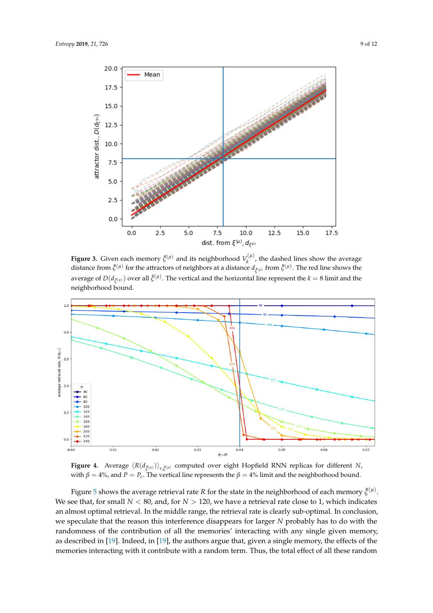<span id="page-8-0"></span>

**Figure 3.** Given each memory  $\bar{\zeta}^{(\mu)}$  and its neighborhood  $V_k^{(\mu)}$ , the dashed lines show the average distance from  $\bar{\xi}^{(\mu)}$  for the attractors of neighbors at a distance  $d_{\bar{\xi}^{(\mu)}}$  from  $\bar{\xi}^{(\mu)}$ . The red line shows the average of  $D(d_{\tilde{\xi}^{(\mu)}})$  over all  $\tilde{\xi}^{(\mu)}$ . The vertical and the horizontal line represent the  $k=8$  limit and the neighborhood bound.

<span id="page-8-1"></span>

**Figure 4.** Average  $\langle R(d_{\tilde{\xi}^{(\mu)}})\rangle_{r,\tilde{\xi}^{(\mu)}}$  computed over eight Hopfield RNN replicas for different *N*, with  $\beta = 4\%$ , and  $P = P_c$ . The vertical line represents the  $\beta = 4\%$  limit and the neighborhood bound.

Figure [5](#page-9-0) shows the average retrieval rate *R* for the state in the neighborhood of each memory  $\bar{\xi}^{(\mu)}$ . We see that, for small  $N < 80$ , and, for  $N > 120$ , we have a retrieval rate close to 1, which indicates an almost optimal retrieval. In the middle range, the retrieval rate is clearly sub-optimal. In conclusion, we speculate that the reason this interference disappears for larger *N* probably has to do with the randomness of the contribution of all the memories' interacting with any single given memory, as described in [\[19\]](#page-10-17). Indeed, in [\[19\]](#page-10-17), the authors argue that, given a single memory, the effects of the memories interacting with it contribute with a random term. Thus, the total effect of all these random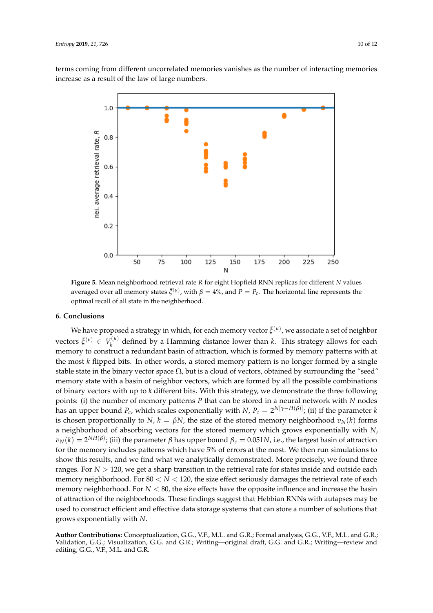<span id="page-9-0"></span>terms coming from different uncorrelated memories vanishes as the number of interacting memories increase as a result of the law of large numbers.



**Figure 5.** Mean neighborhood retrieval rate *R* for eight Hopfield RNN replicas for different *N* values averaged over all memory states  $\bar{\xi}^{(\mu)}$ , with  $\beta = 4\%$ , and  $P = P_c$ . The horizontal line represents the optimal recall of all state in the neighberhood.

#### **6. Conclusions**

We have proposed a strategy in which, for each memory vector  $\bar{\xi}^{(\mu)}$ , we associate a set of neighbor  $\mathrm{vectors} \; \bar{\xi}^{(\nu)} \; \in \; V^{(\mu)}_k$  $\mathbf{k}^{(n)}$  defined by a Hamming distance lower than *k*. This strategy allows for each memory to construct a redundant basin of attraction, which is formed by memory patterns with at the most *k* flipped bits. In other words, a stored memory pattern is no longer formed by a single stable state in the binary vector space  $\Omega$ , but is a cloud of vectors, obtained by surrounding the "seed" memory state with a basin of neighbor vectors, which are formed by all the possible combinations of binary vectors with up to *k* different bits. With this strategy, we demonstrate the three following points: (i) the number of memory patterns *P* that can be stored in a neural network with *N* nodes has an upper bound *Pc*, which scales exponentially with *N*, *P<sup>c</sup>* = 2 *<sup>N</sup>*[*γ*−*H*(*β*)]; (ii) if the parameter *k* is chosen proportionally to *N*,  $k = \beta N$ , the size of the stored memory neighborhood  $v_N(k)$  forms a neighborhood of absorbing vectors for the stored memory which grows exponentially with *N*,  $v_N(k) = 2^{NH(\beta)}$ ; (iii) the parameter  $\beta$  has upper bound  $\beta_c=0.051N$ , i.e., the largest basin of attraction for the memory includes patterns which have 5% of errors at the most. We then run simulations to show this results, and we find what we analytically demonstrated. More precisely, we found three ranges. For *N* > 120, we get a sharp transition in the retrieval rate for states inside and outside each memory neighborhood. For  $80 < N < 120$ , the size effect seriously damages the retrieval rate of each memory neighborhood. For *N* < 80, the size effects have the opposite influence and increase the basin of attraction of the neighborhoods. These findings suggest that Hebbian RNNs with autapses may be used to construct efficient and effective data storage systems that can store a number of solutions that grows exponentially with *N*.

**Author Contributions:** Conceptualization, G.G., V.F., M.L. and G.R.; Formal analysis, G.G., V.F., M.L. and G.R.; Validation, G.G.; Visualization, G.G. and G.R.; Writing—original draft, G.G. and G.R.; Writing—review and editing, G.G., V.F., M.L. and G.R.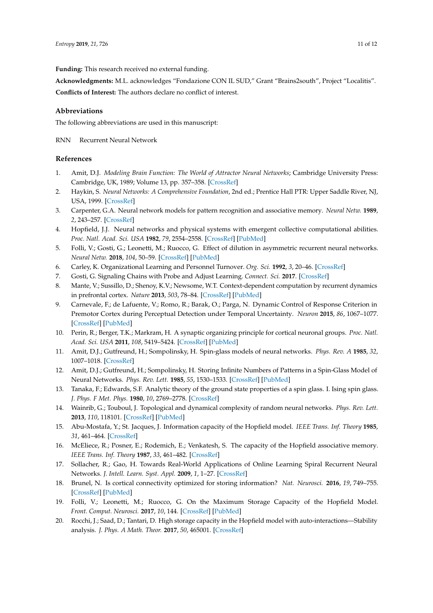**Funding:** This research received no external funding.

**Acknowledgments:** M.L. acknowledges "Fondazione CON IL SUD," Grant "Brains2south", Project "Localitis". **Conflicts of Interest:** The authors declare no conflict of interest.

## **Abbreviations**

The following abbreviations are used in this manuscript:

RNN Recurrent Neural Network

## **References**

- <span id="page-10-0"></span>1. Amit, D.J. *Modeling Brain Function: The World of Attractor Neural Networks*; Cambridge University Press: Cambridge, UK, 1989; Volume 13, pp. 357–358. [\[CrossRef\]](http://dx.doi.org/10.1016/0166-2236(90)90155-4)
- <span id="page-10-1"></span>2. Haykin, S. *Neural Networks: A Comprehensive Foundation*, 2nd ed.; Prentice Hall PTR: Upper Saddle River, NJ, USA, 1999. [\[CrossRef\]](http://dx.doi.org/10.1017/S0269888998214044)
- <span id="page-10-2"></span>3. Carpenter, G.A. Neural network models for pattern recognition and associative memory. *Neural Netw.* **1989**, *2*, 243–257. [\[CrossRef\]](http://dx.doi.org/10.1016/0893-6080(89)90035-X)
- 4. Hopfield, J.J. Neural networks and physical systems with emergent collective computational abilities. *Proc. Natl. Acad. Sci. USA* **1982**, *79*, 2554–2558. [\[CrossRef\]](http://dx.doi.org/10.1073/pnas.79.8.2554) [\[PubMed\]](http://www.ncbi.nlm.nih.gov/pubmed/6953413)
- <span id="page-10-3"></span>5. Folli, V.; Gosti, G.; Leonetti, M.; Ruocco, G. Effect of dilution in asymmetric recurrent neural networks. *Neural Netw.* **2018**, *104*, 50–59. [\[CrossRef\]](http://dx.doi.org/10.1016/j.neunet.2018.04.003) [\[PubMed\]](http://www.ncbi.nlm.nih.gov/pubmed/29705670)
- <span id="page-10-4"></span>6. Carley, K. Organizational Learning and Personnel Turnover. *Org. Sci.* **1992**, *3*, 20–46. [\[CrossRef\]](http://dx.doi.org/10.1287/orsc.3.1.20)
- <span id="page-10-5"></span>7. Gosti, G. Signaling Chains with Probe and Adjust Learning. *Connect. Sci.* **2017**. [\[CrossRef\]](http://dx.doi.org/10.1080/09540091.2017.1345858)
- <span id="page-10-6"></span>8. Mante, V.; Sussillo, D.; Shenoy, K.V.; Newsome, W.T. Context-dependent computation by recurrent dynamics in prefrontal cortex. *Nature* **2013**, *503*, 78–84. [\[CrossRef\]](http://dx.doi.org/10.1038/nature12742) [\[PubMed\]](http://www.ncbi.nlm.nih.gov/pubmed/24201281)
- <span id="page-10-7"></span>9. Carnevale, F.; de Lafuente, V.; Romo, R.; Barak, O.; Parga, N. Dynamic Control of Response Criterion in Premotor Cortex during Perceptual Detection under Temporal Uncertainty. *Neuron* **2015**, *86*, 1067–1077. [\[CrossRef\]](http://dx.doi.org/10.1016/j.neuron.2015.04.014) [\[PubMed\]](http://www.ncbi.nlm.nih.gov/pubmed/25959731)
- <span id="page-10-8"></span>10. Perin, R.; Berger, T.K.; Markram, H. A synaptic organizing principle for cortical neuronal groups. *Proc. Natl. Acad. Sci. USA* **2011**, *108*, 5419–5424. [\[CrossRef\]](http://dx.doi.org/10.1073/pnas.1016051108) [\[PubMed\]](http://www.ncbi.nlm.nih.gov/pubmed/21383177)
- <span id="page-10-9"></span>11. Amit, D.J.; Gutfreund, H.; Sompolinsky, H. Spin-glass models of neural networks. *Phys. Rev. A* **1985**, *32*, 1007–1018. [\[CrossRef\]](http://dx.doi.org/10.1103/PhysRevA.32.1007)
- <span id="page-10-10"></span>12. Amit, D.J.; Gutfreund, H.; Sompolinsky, H. Storing Infinite Numbers of Patterns in a Spin-Glass Model of Neural Networks. *Phys. Rev. Lett.* **1985**, *55*, 1530–1533. [\[CrossRef\]](http://dx.doi.org/10.1103/PhysRevLett.55.1530) [\[PubMed\]](http://www.ncbi.nlm.nih.gov/pubmed/10031847)
- <span id="page-10-11"></span>13. Tanaka, F.; Edwards, S.F. Analytic theory of the ground state properties of a spin glass. I. Ising spin glass. *J. Phys. F Met. Phys.* **1980**, *10*, 2769–2778. [\[CrossRef\]](http://dx.doi.org/10.1088/0305-4608/10/12/017)
- <span id="page-10-12"></span>14. Wainrib, G.; Touboul, J. Topological and dynamical complexity of random neural networks. *Phys. Rev. Lett.* **2013**, *110*, 118101. [\[CrossRef\]](http://dx.doi.org/10.1103/PhysRevLett.110.118101) [\[PubMed\]](http://www.ncbi.nlm.nih.gov/pubmed/25166580)
- <span id="page-10-13"></span>15. Abu-Mostafa, Y.; St. Jacques, J. Information capacity of the Hopfield model. *IEEE Trans. Inf. Theory* **1985**, *31*, 461–464. [\[CrossRef\]](http://dx.doi.org/10.1109/TIT.1985.1057069)
- <span id="page-10-14"></span>16. McEliece, R.; Posner, E.; Rodemich, E.; Venkatesh, S. The capacity of the Hopfield associative memory. *IEEE Trans. Inf. Theory* **1987**, *33*, 461–482. [\[CrossRef\]](http://dx.doi.org/10.1109/TIT.1987.1057328)
- <span id="page-10-15"></span>17. Sollacher, R.; Gao, H. Towards Real-World Applications of Online Learning Spiral Recurrent Neural Networks. *J. Intell. Learn. Syst. Appl.* **2009**, *1*, 1–27. [\[CrossRef\]](http://dx.doi.org/10.4236/jilsa.2009.11001)
- <span id="page-10-16"></span>18. Brunel, N. Is cortical connectivity optimized for storing information? *Nat. Neurosci.* **2016**, *19*, 749–755. [\[CrossRef\]](http://dx.doi.org/10.1038/nn.4286) [\[PubMed\]](http://www.ncbi.nlm.nih.gov/pubmed/27065365)
- <span id="page-10-17"></span>19. Folli, V.; Leonetti, M.; Ruocco, G. On the Maximum Storage Capacity of the Hopfield Model. *Front. Comput. Neurosci.* **2017**, *10*, 144. [\[CrossRef\]](http://dx.doi.org/10.3389/fncom.2016.00144) [\[PubMed\]](http://www.ncbi.nlm.nih.gov/pubmed/28119595)
- <span id="page-10-18"></span>20. Rocchi, J.; Saad, D.; Tantari, D. High storage capacity in the Hopfield model with auto-interactions—Stability analysis. *J. Phys. A Math. Theor.* **2017**, *50*, 465001. [\[CrossRef\]](http://dx.doi.org/10.1088/1751-8121/aa8fd7)